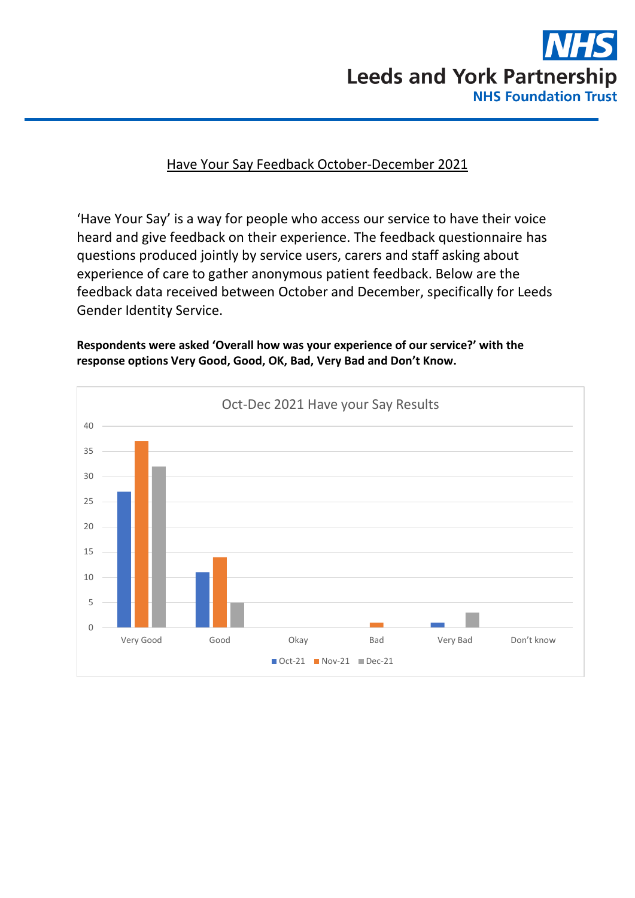

## Have Your Say Feedback October-December 2021

'Have Your Say' is a way for people who access our service to have their voice heard and give feedback on their experience. The feedback questionnaire has questions produced jointly by service users, carers and staff asking about experience of care to gather anonymous patient feedback. Below are the feedback data received between October and December, specifically for Leeds Gender Identity Service.

**Respondents were asked 'Overall how was your experience of our service?' with the response options Very Good, Good, OK, Bad, Very Bad and Don't Know.**

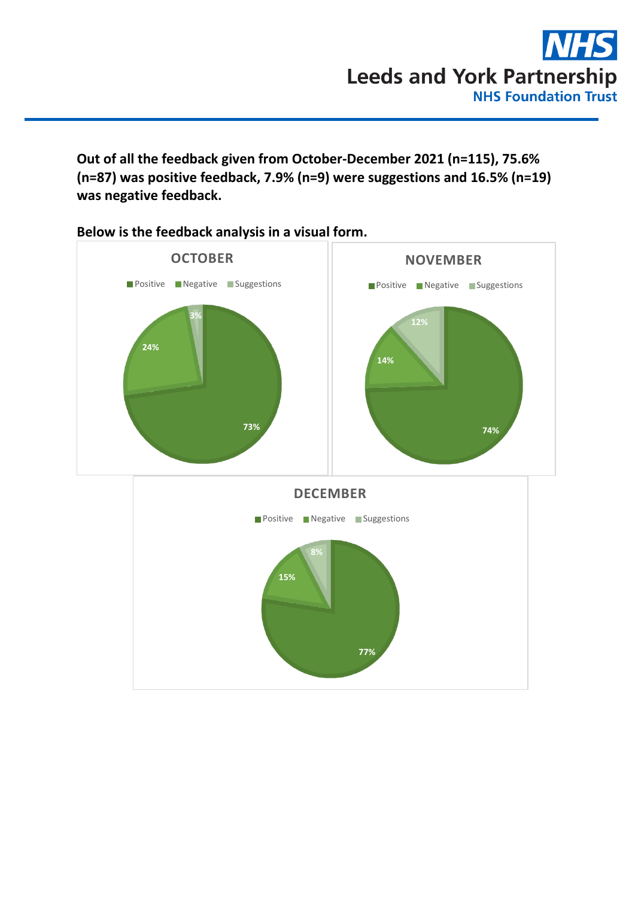**Out of all the feedback given from October-December 2021 (n=115), 75.6% (n=87) was positive feedback, 7.9% (n=9) were suggestions and 16.5% (n=19) was negative feedback.** 



**Below is the feedback analysis in a visual form.**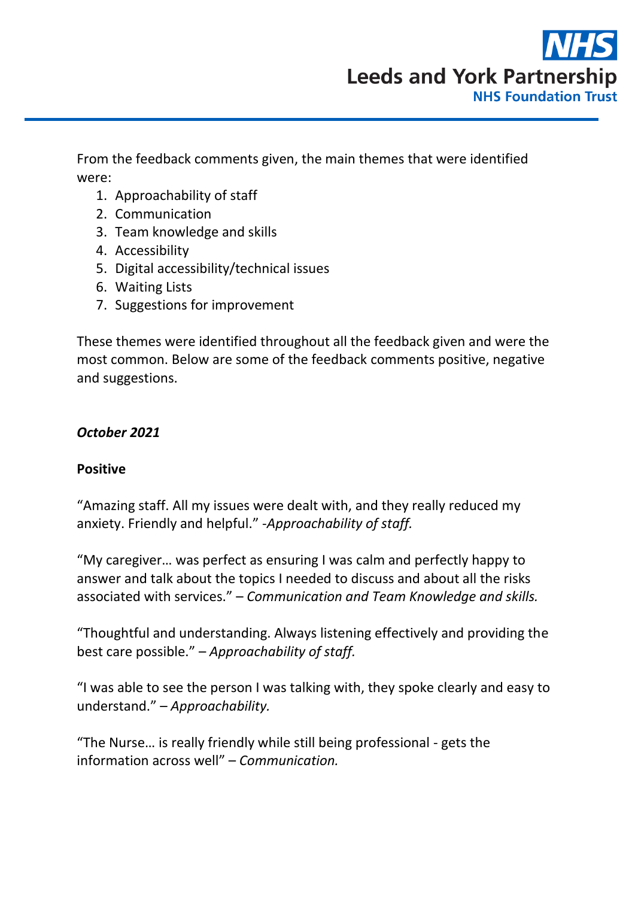

From the feedback comments given, the main themes that were identified were:

- 1. Approachability of staff
- 2. Communication
- 3. Team knowledge and skills
- 4. Accessibility
- 5. Digital accessibility/technical issues
- 6. Waiting Lists
- 7. Suggestions for improvement

These themes were identified throughout all the feedback given and were the most common. Below are some of the feedback comments positive, negative and suggestions.

### *October 2021*

### **Positive**

"Amazing staff. All my issues were dealt with, and they really reduced my anxiety. Friendly and helpful." -*Approachability of staff.*

"My caregiver… was perfect as ensuring I was calm and perfectly happy to answer and talk about the topics I needed to discuss and about all the risks associated with services." – *Communication and Team Knowledge and skills.*

"Thoughtful and understanding. Always listening effectively and providing the best care possible." – *Approachability of staff.*

"I was able to see the person I was talking with, they spoke clearly and easy to understand." – *Approachability.*

"The Nurse… is really friendly while still being professional - gets the information across well" – *Communication.*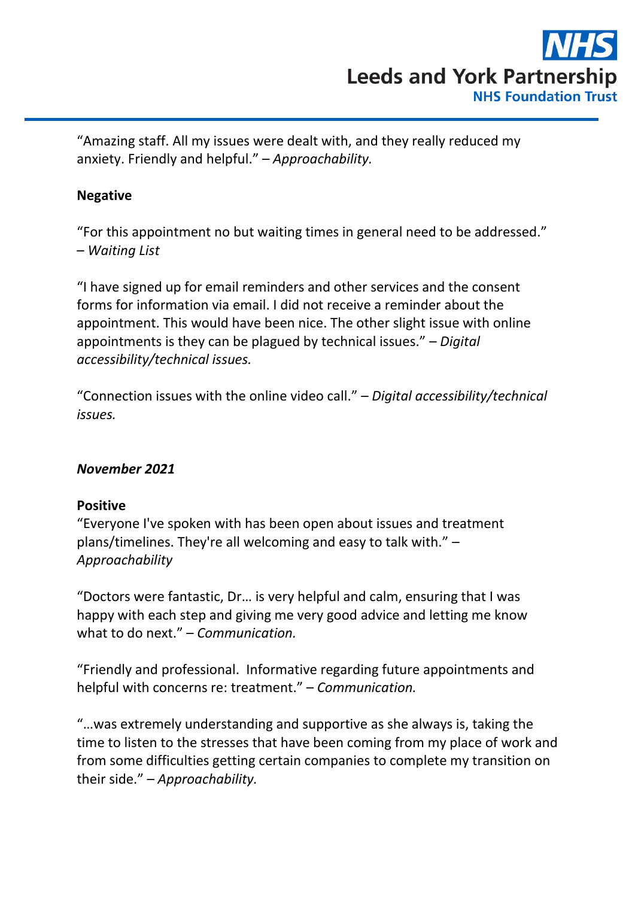

"Amazing staff. All my issues were dealt with, and they really reduced my anxiety. Friendly and helpful." – *Approachability.*

# **Negative**

"For this appointment no but waiting times in general need to be addressed." – *Waiting List*

"I have signed up for email reminders and other services and the consent forms for information via email. I did not receive a reminder about the appointment. This would have been nice. The other slight issue with online appointments is they can be plagued by technical issues." – *Digital accessibility/technical issues.*

"Connection issues with the online video call." – *Digital accessibility/technical issues.*

### *November 2021*

### **Positive**

"Everyone I've spoken with has been open about issues and treatment plans/timelines. They're all welcoming and easy to talk with." – *Approachability*

"Doctors were fantastic, Dr… is very helpful and calm, ensuring that I was happy with each step and giving me very good advice and letting me know what to do next." – *Communication.*

"Friendly and professional. Informative regarding future appointments and helpful with concerns re: treatment." – *Communication.*

"…was extremely understanding and supportive as she always is, taking the time to listen to the stresses that have been coming from my place of work and from some difficulties getting certain companies to complete my transition on their side." – *Approachability.*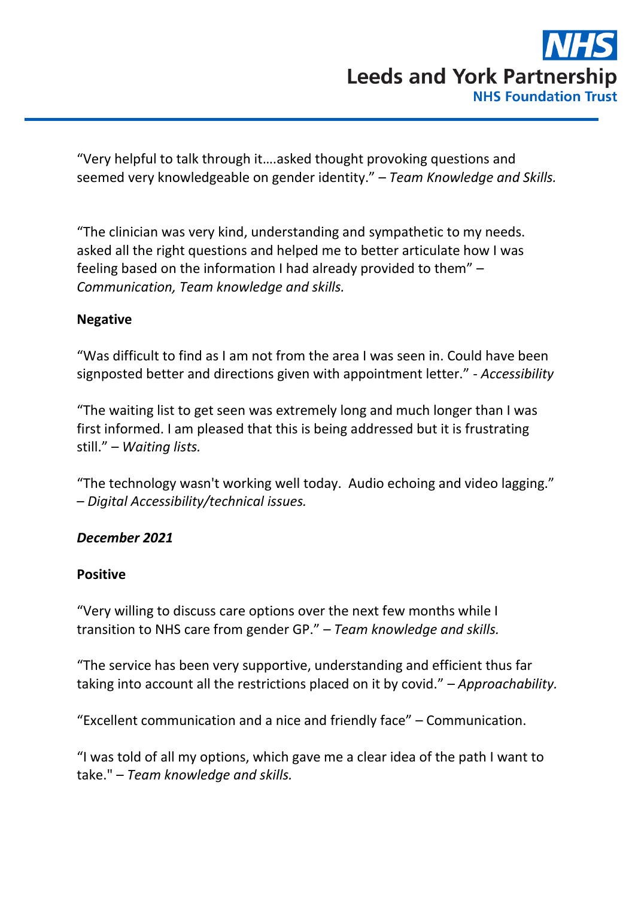

"Very helpful to talk through it….asked thought provoking questions and seemed very knowledgeable on gender identity." – *Team Knowledge and Skills.*

"The clinician was very kind, understanding and sympathetic to my needs. asked all the right questions and helped me to better articulate how I was feeling based on the information I had already provided to them" – *Communication, Team knowledge and skills.* 

### **Negative**

"Was difficult to find as I am not from the area I was seen in. Could have been signposted better and directions given with appointment letter." - *Accessibility*

"The waiting list to get seen was extremely long and much longer than I was first informed. I am pleased that this is being addressed but it is frustrating still." – *Waiting lists.*

"The technology wasn't working well today. Audio echoing and video lagging." – *Digital Accessibility/technical issues.*

### *December 2021*

### **Positive**

"Very willing to discuss care options over the next few months while I transition to NHS care from gender GP." – *Team knowledge and skills.*

"The service has been very supportive, understanding and efficient thus far taking into account all the restrictions placed on it by covid." – *Approachability.*

"Excellent communication and a nice and friendly face" – Communication.

"I was told of all my options, which gave me a clear idea of the path I want to take." – *Team knowledge and skills.*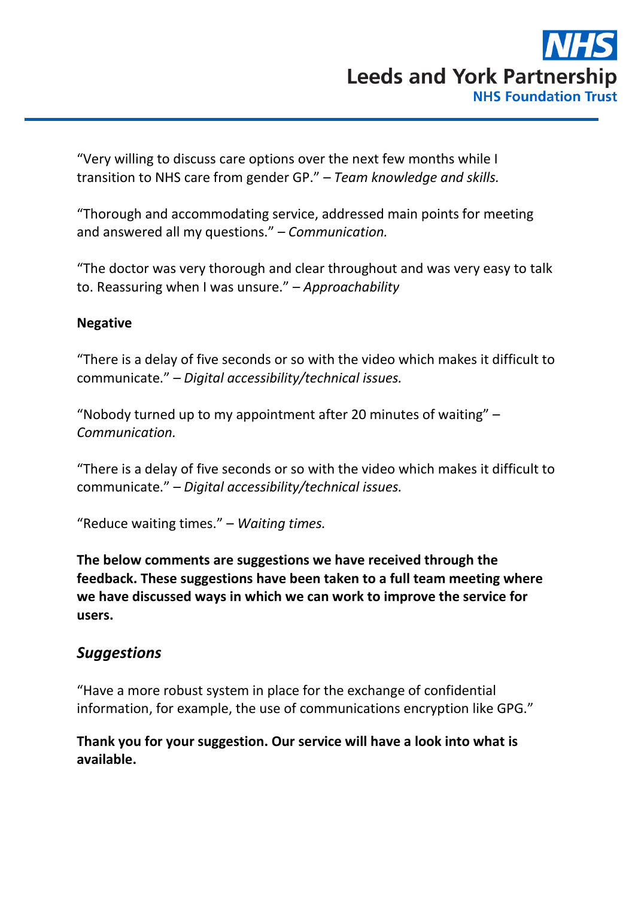

"Very willing to discuss care options over the next few months while I transition to NHS care from gender GP." – *Team knowledge and skills.*

"Thorough and accommodating service, addressed main points for meeting and answered all my questions." – *Communication.*

"The doctor was very thorough and clear throughout and was very easy to talk to. Reassuring when I was unsure." – *Approachability*

#### **Negative**

"There is a delay of five seconds or so with the video which makes it difficult to communicate." – *Digital accessibility/technical issues.*

"Nobody turned up to my appointment after 20 minutes of waiting" – *Communication.*

"There is a delay of five seconds or so with the video which makes it difficult to communicate." – *Digital accessibility/technical issues.*

"Reduce waiting times." – *Waiting times.*

**The below comments are suggestions we have received through the feedback. These suggestions have been taken to a full team meeting where we have discussed ways in which we can work to improve the service for users.**

# *Suggestions*

"Have a more robust system in place for the exchange of confidential information, for example, the use of communications encryption like GPG."

**Thank you for your suggestion. Our service will have a look into what is available.**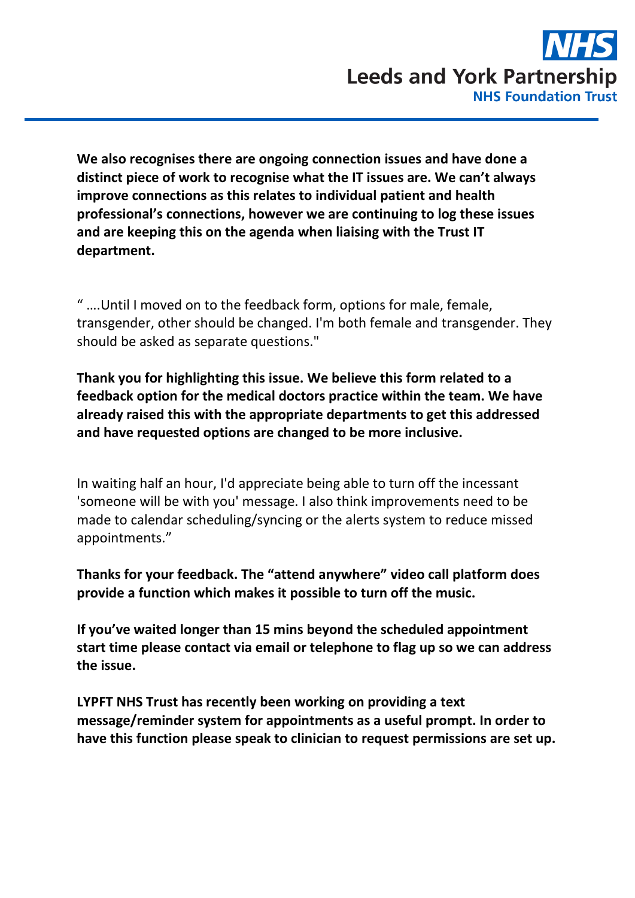**We also recognises there are ongoing connection issues and have done a distinct piece of work to recognise what the IT issues are. We can't always improve connections as this relates to individual patient and health professional's connections, however we are continuing to log these issues and are keeping this on the agenda when liaising with the Trust IT department.** 

" ….Until I moved on to the feedback form, options for male, female, transgender, other should be changed. I'm both female and transgender. They should be asked as separate questions."

**Thank you for highlighting this issue. We believe this form related to a feedback option for the medical doctors practice within the team. We have already raised this with the appropriate departments to get this addressed and have requested options are changed to be more inclusive.**

In waiting half an hour, I'd appreciate being able to turn off the incessant 'someone will be with you' message. I also think improvements need to be made to calendar scheduling/syncing or the alerts system to reduce missed appointments."

**Thanks for your feedback. The "attend anywhere" video call platform does provide a function which makes it possible to turn off the music.**

**If you've waited longer than 15 mins beyond the scheduled appointment start time please contact via email or telephone to flag up so we can address the issue.**

**LYPFT NHS Trust has recently been working on providing a text message/reminder system for appointments as a useful prompt. In order to have this function please speak to clinician to request permissions are set up.**